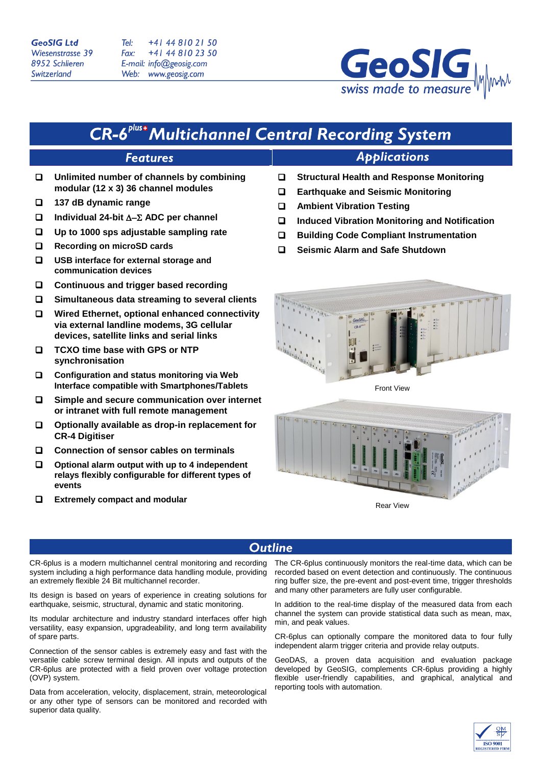### **GeoSIG Ltd Wiesenstrasse 39** 8952 Schlieren Switzerland

+41 44 810 21 50  $T_{\rho}$ +41 44 810 23 50 Fax: E-mail: info@geosig.com Web: www.geosig.com



# **CR-6<sup>plus+</sup>Multichannel Central Recording System**

## **Features**

- **Unlimited number of channels by combining modular (12 x 3) 36 channel modules**
- **137 dB dynamic range**
- **Individual 24-bit ADC per channel**
- **Up to 1000 sps adjustable sampling rate**
- **Recording on microSD cards**
- **USB interface for external storage and communication devices**
- **Continuous and trigger based recording**
- **Simultaneous data streaming to several clients**
- **Wired Ethernet, optional enhanced connectivity via external landline modems, 3G cellular devices, satellite links and serial links**
- **TCXO time base with GPS or NTP synchronisation**
- **Configuration and status monitoring via Web Interface compatible with Smartphones/Tablets**
- **Simple and secure communication over internet or intranet with full remote management**
- **Optionally available as drop-in replacement for CR-4 Digitiser**
- **Connection of sensor cables on terminals**
- **Optional alarm output with up to 4 independent relays flexibly configurable for different types of events**
- **Extremely compact and modular**

**Structural Health and Response Monitoring**

**Applications** 

- **Earthquake and Seismic Monitoring**
- **Ambient Vibration Testing**
- **Induced Vibration Monitoring and Notification**
- **Building Code Compliant Instrumentation**
- **Seismic Alarm and Safe Shutdown**



Front View



Rear View

## **Outline**

CR-6plus is a modern multichannel central monitoring and recording system including a high performance data handling module, providing an extremely flexible 24 Bit multichannel recorder.

Its design is based on years of experience in creating solutions for earthquake, seismic, structural, dynamic and static monitoring.

Its modular architecture and industry standard interfaces offer high versatility, easy expansion, upgradeability, and long term availability of spare parts.

Connection of the sensor cables is extremely easy and fast with the versatile cable screw terminal design. All inputs and outputs of the CR-6plus are protected with a field proven over voltage protection (OVP) system.

Data from acceleration, velocity, displacement, strain, meteorological or any other type of sensors can be monitored and recorded with superior data quality.

The CR-6plus continuously monitors the real-time data, which can be recorded based on event detection and continuously. The continuous ring buffer size, the pre-event and post-event time, trigger thresholds and many other parameters are fully user configurable.

In addition to the real-time display of the measured data from each channel the system can provide statistical data such as mean, max, min, and peak values.

CR-6plus can optionally compare the monitored data to four fully independent alarm trigger criteria and provide relay outputs.

GeoDAS, a proven data acquisition and evaluation package developed by GeoSIG, complements CR-6plus providing a highly flexible user-friendly capabilities, and graphical, analytical and reporting tools with automation.